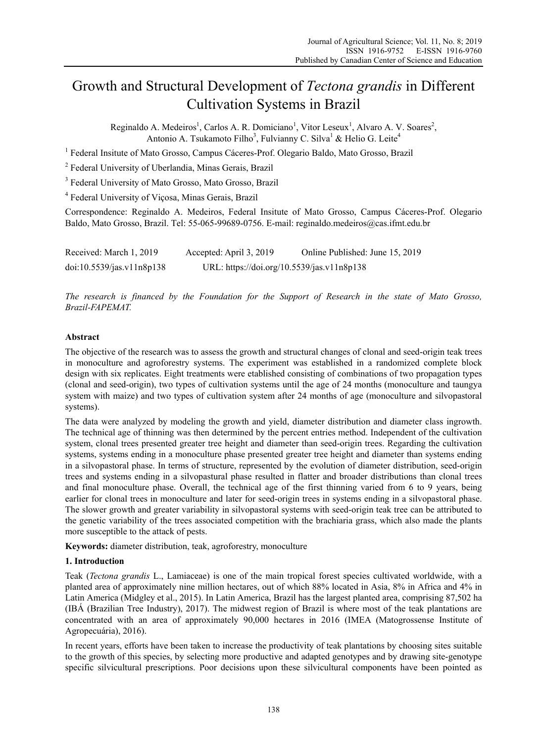# Growth and Structural Development of *Tectona grandis* in Different Cultivation Systems in Brazil

Reginaldo A. Medeiros<sup>1</sup>, Carlos A. R. Domiciano<sup>1</sup>, Vitor Leseux<sup>1</sup>, Alvaro A. V. Soares<sup>2</sup>, Antonio A. Tsukamoto Filho<sup>3</sup>, Fulvianny C. Silva<sup>1</sup> & Helio G. Leite<sup>4</sup>

<sup>1</sup> Federal Insitute of Mato Grosso, Campus Cáceres-Prof. Olegario Baldo, Mato Grosso, Brazil

<sup>2</sup> Federal University of Uberlandia, Minas Gerais, Brazil

<sup>3</sup> Federal University of Mato Grosso, Mato Grosso, Brazil

4 Federal University of Viçosa, Minas Gerais, Brazil

Correspondence: Reginaldo A. Medeiros, Federal Insitute of Mato Grosso, Campus Cáceres-Prof. Olegario Baldo, Mato Grosso, Brazil. Tel: 55-065-99689-0756. E-mail: reginaldo.medeiros@cas.ifmt.edu.br

| Received: March 1, 2019   | Accepted: April 3, 2019                    | Online Published: June 15, 2019 |
|---------------------------|--------------------------------------------|---------------------------------|
| doi:10.5539/jas.v11n8p138 | URL: https://doi.org/10.5539/jas.v11n8p138 |                                 |

*The research is financed by the Foundation for the Support of Research in the state of Mato Grosso, Brazil-FAPEMAT.* 

# **Abstract**

The objective of the research was to assess the growth and structural changes of clonal and seed-origin teak trees in monoculture and agroforestry systems. The experiment was established in a randomized complete block design with six replicates. Eight treatments were etablished consisting of combinations of two propagation types (clonal and seed-origin), two types of cultivation systems until the age of 24 months (monoculture and taungya system with maize) and two types of cultivation system after 24 months of age (monoculture and silvopastoral systems).

The data were analyzed by modeling the growth and yield, diameter distribution and diameter class ingrowth. The technical age of thinning was then determined by the percent entries method. Independent of the cultivation system, clonal trees presented greater tree height and diameter than seed-origin trees. Regarding the cultivation systems, systems ending in a monoculture phase presented greater tree height and diameter than systems ending in a silvopastoral phase. In terms of structure, represented by the evolution of diameter distribution, seed-origin trees and systems ending in a silvopastural phase resulted in flatter and broader distributions than clonal trees and final monoculture phase. Overall, the technical age of the first thinning varied from 6 to 9 years, being earlier for clonal trees in monoculture and later for seed-origin trees in systems ending in a silvopastoral phase. The slower growth and greater variability in silvopastoral systems with seed-origin teak tree can be attributed to the genetic variability of the trees associated competition with the brachiaria grass, which also made the plants more susceptible to the attack of pests.

**Keywords:** diameter distribution, teak, agroforestry, monoculture

# **1. Introduction**

Teak (*Tectona grandis* L., Lamiaceae) is one of the main tropical forest species cultivated worldwide, with a planted area of approximately nine million hectares, out of which 88% located in Asia, 8% in Africa and 4% in Latin America (Midgley et al., 2015). In Latin America, Brazil has the largest planted area, comprising 87,502 ha (IBÁ (Brazilian Tree Industry), 2017). The midwest region of Brazil is where most of the teak plantations are concentrated with an area of approximately 90,000 hectares in 2016 (IMEA (Matogrossense Institute of Agropecuária), 2016).

In recent years, efforts have been taken to increase the productivity of teak plantations by choosing sites suitable to the growth of this species, by selecting more productive and adapted genotypes and by drawing site-genotype specific silvicultural prescriptions. Poor decisions upon these silvicultural components have been pointed as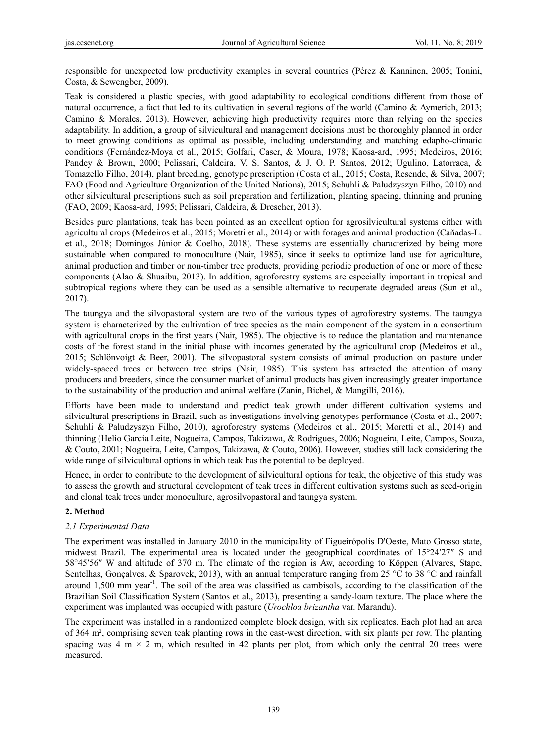responsible for unexpected low productivity examples in several countries (Pérez & Kanninen, 2005; Tonini, Costa, & Scwengber, 2009).

Teak is considered a plastic species, with good adaptability to ecological conditions different from those of natural occurrence, a fact that led to its cultivation in several regions of the world (Camino & Aymerich, 2013; Camino & Morales, 2013). However, achieving high productivity requires more than relying on the species adaptability. In addition, a group of silvicultural and management decisions must be thoroughly planned in order to meet growing conditions as optimal as possible, including understanding and matching edapho-climatic conditions (Fernández-Moya et al., 2015; Golfari, Caser, & Moura, 1978; Kaosa-ard, 1995; Medeiros, 2016; Pandey & Brown, 2000; Pelissari, Caldeira, V. S. Santos, & J. O. P. Santos, 2012; Ugulino, Latorraca, & Tomazello Filho, 2014), plant breeding, genotype prescription (Costa et al., 2015; Costa, Resende, & Silva, 2007; FAO (Food and Agriculture Organization of the United Nations), 2015; Schuhli & Paludzyszyn Filho, 2010) and other silvicultural prescriptions such as soil preparation and fertilization, planting spacing, thinning and pruning (FAO, 2009; Kaosa-ard, 1995; Pelissari, Caldeira, & Drescher, 2013).

Besides pure plantations, teak has been pointed as an excellent option for agrosilvicultural systems either with agricultural crops (Medeiros et al., 2015; Moretti et al., 2014) or with forages and animal production (Cañadas-L. et al., 2018; Domingos Júnior & Coelho, 2018). These systems are essentially characterized by being more sustainable when compared to monoculture (Nair, 1985), since it seeks to optimize land use for agriculture, animal production and timber or non-timber tree products, providing periodic production of one or more of these components (Alao & Shuaibu, 2013). In addition, agroforestry systems are especially important in tropical and subtropical regions where they can be used as a sensible alternative to recuperate degraded areas (Sun et al., 2017).

The taungya and the silvopastoral system are two of the various types of agroforestry systems. The taungya system is characterized by the cultivation of tree species as the main component of the system in a consortium with agricultural crops in the first years (Nair, 1985). The objective is to reduce the plantation and maintenance costs of the forest stand in the initial phase with incomes generated by the agricultural crop (Medeiros et al., 2015; Schlönvoigt & Beer, 2001). The silvopastoral system consists of animal production on pasture under widely-spaced trees or between tree strips (Nair, 1985). This system has attracted the attention of many producers and breeders, since the consumer market of animal products has given increasingly greater importance to the sustainability of the production and animal welfare (Zanin, Bichel, & Mangilli, 2016).

Efforts have been made to understand and predict teak growth under different cultivation systems and silvicultural prescriptions in Brazil, such as investigations involving genotypes performance (Costa et al., 2007; Schuhli & Paludzyszyn Filho, 2010), agroforestry systems (Medeiros et al., 2015; Moretti et al., 2014) and thinning (Helio Garcia Leite, Nogueira, Campos, Takizawa, & Rodrigues, 2006; Nogueira, Leite, Campos, Souza, & Couto, 2001; Nogueira, Leite, Campos, Takizawa, & Couto, 2006). However, studies still lack considering the wide range of silvicultural options in which teak has the potential to be deployed.

Hence, in order to contribute to the development of silvicultural options for teak, the objective of this study was to assess the growth and structural development of teak trees in different cultivation systems such as seed-origin and clonal teak trees under monoculture, agrosilvopastoral and taungya system.

## **2. Method**

## *2.1 Experimental Data*

The experiment was installed in January 2010 in the municipality of Figueirópolis D'Oeste, Mato Grosso state, midwest Brazil. The experimental area is located under the geographical coordinates of 15°24′27″ S and 58°45′56″ W and altitude of 370 m. The climate of the region is Aw, according to Köppen (Alvares, Stape, Sentelhas, Gonçalves, & Sparovek, 2013), with an annual temperature ranging from 25 °C to 38 °C and rainfall around 1,500 mm year<sup>-1</sup>. The soil of the area was classified as cambisols, according to the classification of the Brazilian Soil Classification System (Santos et al., 2013), presenting a sandy-loam texture. The place where the experiment was implanted was occupied with pasture (*Urochloa brizantha* var. Marandu).

The experiment was installed in a randomized complete block design, with six replicates. Each plot had an area of 364 m², comprising seven teak planting rows in the east-west direction, with six plants per row. The planting spacing was 4 m  $\times$  2 m, which resulted in 42 plants per plot, from which only the central 20 trees were measured.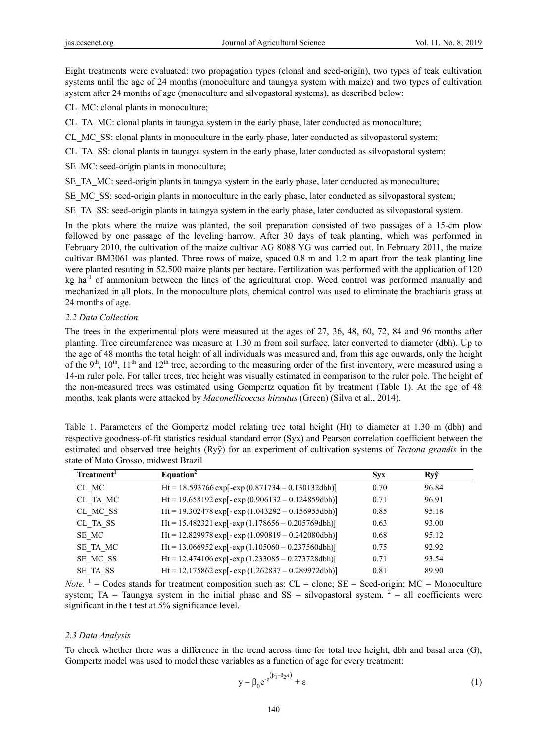Eight treatments were evaluated: two propagation types (clonal and seed-origin), two types of teak cultivation systems until the age of 24 months (monoculture and taungya system with maize) and two types of cultivation system after 24 months of age (monoculture and silvopastoral systems), as described below:

CL\_MC: clonal plants in monoculture;

CL\_TA\_MC: clonal plants in taungya system in the early phase, later conducted as monoculture;

CL\_MC\_SS: clonal plants in monoculture in the early phase, later conducted as silvopastoral system;

CL\_TA\_SS: clonal plants in taungya system in the early phase, later conducted as silvopastoral system;

SE MC: seed-origin plants in monoculture;

SE\_TA\_MC: seed-origin plants in taungya system in the early phase, later conducted as monoculture;

SE\_MC\_SS: seed-origin plants in monoculture in the early phase, later conducted as silvopastoral system;

SE\_TA\_SS: seed-origin plants in taungya system in the early phase, later conducted as silvopastoral system.

In the plots where the maize was planted, the soil preparation consisted of two passages of a 15-cm plow followed by one passage of the leveling harrow. After 30 days of teak planting, which was performed in February 2010, the cultivation of the maize cultivar AG 8088 YG was carried out. In February 2011, the maize cultivar BM3061 was planted. Three rows of maize, spaced 0.8 m and 1.2 m apart from the teak planting line were planted resuting in 52.500 maize plants per hectare. Fertilization was performed with the application of 120 kg ha<sup>-1</sup> of ammonium between the lines of the agricultural crop. Weed control was performed manually and mechanized in all plots. In the monoculture plots, chemical control was used to eliminate the brachiaria grass at 24 months of age.

#### *2.2 Data Collection*

The trees in the experimental plots were measured at the ages of 27, 36, 48, 60, 72, 84 and 96 months after planting. Tree circumference was measure at 1.30 m from soil surface, later converted to diameter (dbh). Up to the age of 48 months the total height of all individuals was measured and, from this age onwards, only the height of the 9<sup>th</sup>, 10<sup>th</sup>, 11<sup>th</sup> and 12<sup>th</sup> tree, according to the measuring order of the first inventory, were measured using a 14-m ruler pole. For taller trees, tree height was visually estimated in comparison to the ruler pole. The height of the non-measured trees was estimated using Gompertz equation fit by treatment (Table 1). At the age of 48 months, teak plants were attacked by *Maconellicoccus hirsutus* (Green) (Silva et al., 2014).

Table 1. Parameters of the Gompertz model relating tree total height (Ht) to diameter at 1.30 m (dbh) and respective goodness-of-fit statistics residual standard error (Syx) and Pearson correlation coefficient between the estimated and observed tree heights (Ryy) for an experiment of cultivation systems of *Tectona grandis* in the state of Mato Grosso, midwest Brazil

| Treatment <sup>1</sup> | Equation <sup>2</sup>                                 | <b>Syx</b> | Ryŷ   |  |
|------------------------|-------------------------------------------------------|------------|-------|--|
| CL MC                  | Ht = 18.593766 exp[-exp $(0.871734 - 0.130132dbh)$ ]  | 0.70       | 96.84 |  |
| CL TA MC               | Ht = 19.658192 exp[-exp $(0.906132 - 0.124859dbh)$ ]  | 0.71       | 96.91 |  |
| CL MC SS               | Ht = 19.302478 exp[-exp(1.043292 - 0.156955dbh)]      | 0.85       | 95.18 |  |
| CL TA SS               | Ht = 15.482321 exp[-exp(1.178656 - 0.205769dbh)]      | 0.63       | 93.00 |  |
| SE MC                  | Ht = 12.829978 exp[- exp $(1.090819 - 0.242080dbl)$ ] | 0.68       | 95.12 |  |
| SE TA MC               | Ht = 13.066952 exp[-exp(1.105060 - 0.237560dbh)]      | 0.75       | 92.92 |  |
| SE MC SS               | $Ht = 12.474106 \exp[-exp(1.233085 - 0.273728dbh)]$   | 0.71       | 93.54 |  |
| SE TA SS               | Ht = 12.175862 exp[-exp (1.262837 - 0.289972dbh)]     | 0.81       | 89.90 |  |

 $Note.$ <sup>1</sup> = Codes stands for treatment composition such as: CL = clone; SE = Seed-origin; MC = Monoculture system; TA = Taungya system in the initial phase and SS = silvopastoral system.  $2\overline{ }$  = all coefficients were significant in the t test at 5% significance level.

#### *2.3 Data Analysis*

To check whether there was a difference in the trend across time for total tree height, dbh and basal area (G), Gompertz model was used to model these variables as a function of age for every treatment:

$$
y = \beta_0 e^{-e^{(\beta_1 - \beta_2 A)}} + \varepsilon
$$
 (1)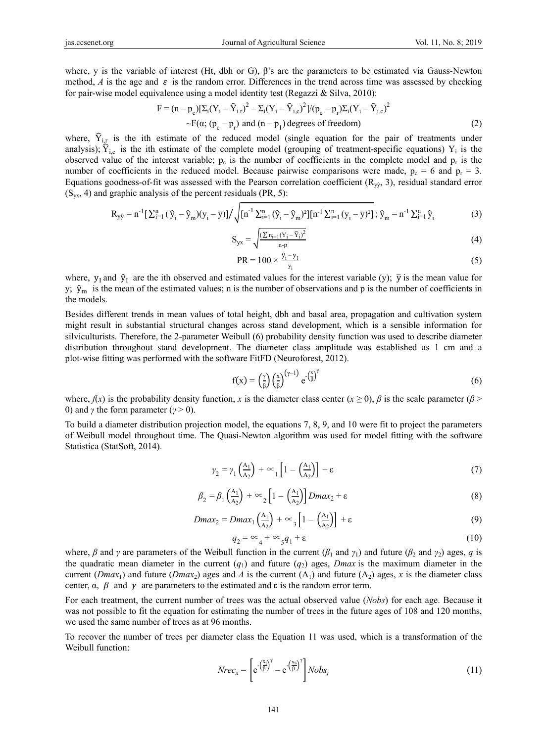where, y is the variable of interest (Ht, dbh or G), β's are the parameters to be estimated via Gauss-Newton method,  $A$  is the age and  $\varepsilon$  is the random error. Differences in the trend across time was assessed by checking for pair-wise model equivalence using a model identity test (Regazzi  $\&$  Silva, 2010):

$$
F = (n - p_c)[\Sigma_i(Y_i - \widehat{Y}_{i,r})^2 - \Sigma_i(Y_i - \widehat{Y}_{i,c})^2]/(p_c - p_r)\Sigma_i(Y_i - \widehat{Y}_{i,c})^2
$$
  
\n
$$
\sim F(\alpha; (p_c - p_r) \text{ and } (n - p_1) \text{ degrees of freedom})
$$
 (2)

where,  $\hat{Y}_{i,r}$  is the ith estimate of the reduced model (single equation for the pair of treatments under analysis);  $\hat{Y}_{i,c}$  is the ith estimate of the complete model (grouping of treatment-specific equations) Y<sub>i</sub> is the observed value of the interest variable;  $p_c$  is the number of coefficients in the complete model and  $p_r$  is the number of coefficients in the reduced model. Because pairwise comparisons were made,  $p_c = 6$  and  $p_r = 3$ . Equations goodness-of-fit was assessed with the Pearson correlation coefficient  $(R_{\nu\hat{y}}, 3)$ , residual standard error  $(S_{yx}, 4)$  and graphic analysis of the percent residuals (PR, 5):

$$
R_{y\hat{y}} = n^{-1} \left[ \sum_{i=1}^{n} (\hat{y}_i - \hat{y}_m)(y_i - \bar{y}) \right] / \sqrt{[n^{-1} \sum_{i=1}^{n} (\hat{y}_i - \hat{y}_m)^2][n^{-1} \sum_{i=1}^{n} (y_i - \bar{y})^2]}; \hat{y}_m = n^{-1} \sum_{i=1}^{n} \hat{y}_i
$$
 (3)

$$
S_{yx} = \sqrt{\frac{(\sum n_{i=1}(Y_i - \hat{Y}_i)^2}{n-p}}
$$
(4)

$$
PR = 100 \times \frac{\hat{y}_i - y_1}{y_i}
$$
 (5)

where,  $y_1$  and  $\hat{y}_1$  are the ith observed and estimated values for the interest variable (y);  $\bar{y}$  is the mean value for y;  $\hat{y}_m$  is the mean of the estimated values; n is the number of observations and p is the number of coefficients in the models.

Besides different trends in mean values of total height, dbh and basal area, propagation and cultivation system might result in substantial structural changes across stand development, which is a sensible information for silviculturists. Therefore, the 2-parameter Weibull (6) probability density function was used to describe diameter distribution throughout stand development. The diameter class amplitude was established as 1 cm and a plot-wise fitting was performed with the software FitFD (Neuroforest, 2012).

$$
f(x) = \left(\frac{\gamma}{\beta}\right) \left(\frac{x}{\beta}\right)^{(\gamma - 1)} e^{-\left(\frac{x}{\beta}\right)^{\gamma}}
$$
(6)

where,  $f(x)$  is the probability density function, *x* is the diameter class center  $(x \ge 0)$ ,  $\beta$  is the scale parameter ( $\beta$ ) 0) and *γ* the form parameter (*γ* > 0).

To build a diameter distribution projection model, the equations 7, 8, 9, and 10 were fit to project the parameters of Weibull model throughout time. The Quasi-Newton algorithm was used for model fitting with the software Statistica (StatSoft, 2014).

$$
\gamma_2 = \gamma_1 \left(\frac{A_1}{A_2}\right) + \infty_1 \left[1 - \left(\frac{A_1}{A_2}\right)\right] + \varepsilon \tag{7}
$$

$$
\beta_2 = \beta_1 \left(\frac{A_1}{A_2}\right) + \infty_2 \left[1 - \left(\frac{A_1}{A_2}\right)\right] Dmax_2 + \varepsilon \tag{8}
$$

$$
Dmax_2 = Dmax_1 \left(\frac{A_1}{A_2}\right) + \infty_3 \left[1 - \left(\frac{A_1}{A_2}\right)\right] + \varepsilon \tag{9}
$$

$$
q_2 = \infty_4 + \infty_5 q_1 + \varepsilon \tag{10}
$$

where,  $\beta$  and  $\gamma$  are parameters of the Weibull function in the current ( $\beta_1$  and  $\gamma_1$ ) and future ( $\beta_2$  and  $\gamma_2$ ) ages, *q* is the quadratic mean diameter in the current  $(q_1)$  and future  $(q_2)$  ages, *Dmax* is the maximum diameter in the current (*Dmax*<sub>1</sub>) and future (*Dmax*<sub>2</sub>) ages and *A* is the current ( $A_1$ ) and future ( $A_2$ ) ages, *x* is the diameter class center,  $\alpha$ ,  $\beta$  and  $\gamma$  are parameters to the estimated and  $\epsilon$  is the random error term.

For each treatment, the current number of trees was the actual observed value (*Nobs*) for each age. Because it was not possible to fit the equation for estimating the number of trees in the future ages of 108 and 120 months, we used the same number of trees as at 96 months.

To recover the number of trees per diameter class the Equation 11 was used, which is a transformation of the Weibull function:

$$
Nrec_x = \left[ e^{-\left(\frac{x_i}{\beta}\right)^{\gamma}} - e^{-\left(\frac{x_s}{\beta}\right)^{\gamma}} \right] Nobs_j \tag{11}
$$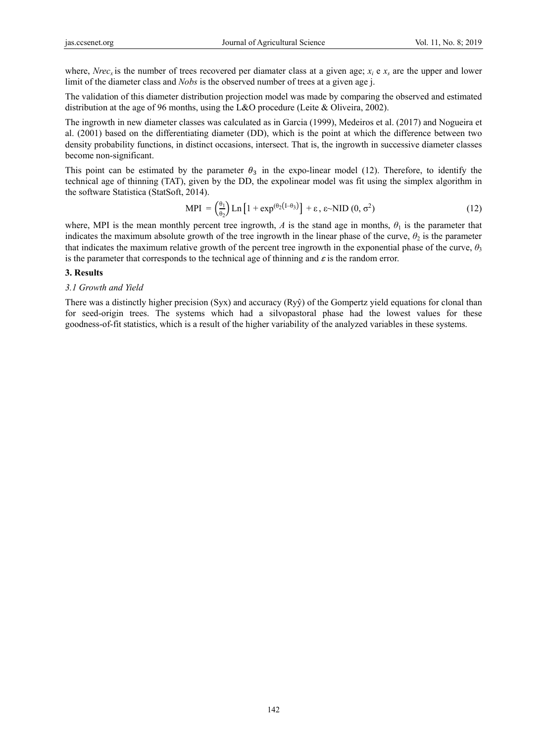where, *Nrec<sub>x</sub>* is the number of trees recovered per diamater class at a given age;  $x_i \text{ e } x_s$  are the upper and lower limit of the diameter class and *Nobs* is the observed number of trees at a given age j.

The validation of this diameter distribution projection model was made by comparing the observed and estimated distribution at the age of 96 months, using the L&O procedure (Leite & Oliveira, 2002).

The ingrowth in new diameter classes was calculated as in Garcia (1999), Medeiros et al. (2017) and Nogueira et al. (2001) based on the differentiating diameter (DD), which is the point at which the difference between two density probability functions, in distinct occasions, intersect. That is, the ingrowth in successive diameter classes become non-significant.

This point can be estimated by the parameter  $\theta_3$  in the expo-linear model (12). Therefore, to identify the technical age of thinning (TAT), given by the DD, the expolinear model was fit using the simplex algorithm in the software Statistica (StatSoft, 2014).

$$
MPI = \left(\frac{\theta_1}{\theta_2}\right) Ln \left[1 + \exp^{(\theta_2 \left(1 - \theta_3\right))}\right] + \varepsilon, \varepsilon \sim NID \left(0, \sigma^2\right) \tag{12}
$$

where, MPI is the mean monthly percent tree ingrowth,  $A$  is the stand age in months,  $\theta_1$  is the parameter that indicates the maximum absolute growth of the tree ingrowth in the linear phase of the curve,  $\theta_2$  is the parameter that indicates the maximum relative growth of the percent tree ingrowth in the exponential phase of the curve,  $\theta_3$ is the parameter that corresponds to the technical age of thinning and  $\varepsilon$  is the random error.

### **3. Results**

### *3.1 Growth and Yield*

There was a distinctly higher precision (Syx) and accuracy (Ryŷ) of the Gompertz yield equations for clonal than for seed-origin trees. The systems which had a silvopastoral phase had the lowest values for these goodness-of-fit statistics, which is a result of the higher variability of the analyzed variables in these systems.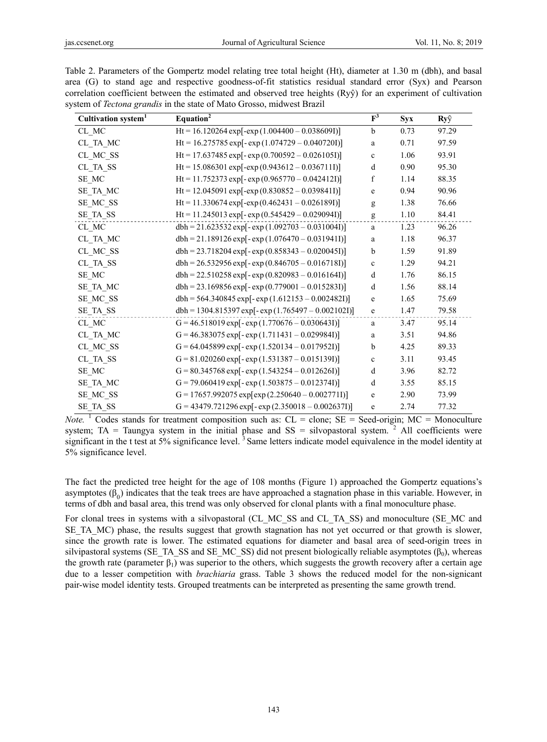| Cultivation system <sup>1</sup>      | Equation <sup>2</sup>                                 | $F^3$       | Syx  | Ryŷ   |
|--------------------------------------|-------------------------------------------------------|-------------|------|-------|
| ${\rm CL}$ MC                        | Ht = 16.120264 exp[-exp $(1.004400 - 0.038609I)$ ]    | $\mathbf b$ | 0.73 | 97.29 |
| CL TA MC                             | Ht = 16.275785 exp[-exp(1.074729 - 0.040720I)]        | a           | 0.71 | 97.59 |
| CL_MC_SS                             | Ht = 17.637485 exp[-exp $(0.700592 - 0.0261051)$ ]    | $\mathbf c$ | 1.06 | 93.91 |
| CL_TA_SS                             | $Ht = 15.086301 \exp[-exp(0.943612 - 0.0367111)]$     | d           | 0.90 | 95.30 |
| SE MC                                | Ht = 11.752373 exp[-exp $(0.965770 - 0.042412I)$ ]    | f           | 1.14 | 88.35 |
| SE_TA_MC                             | Ht = 12.045091 exp[-exp $(0.830852 - 0.0398411)$ ]    | $\mathbf e$ | 0.94 | 90.96 |
| SE_MC_SS                             | $Ht = 11.330674 \exp[-exp(0.462431 - 0.026189I)]$     | g           | 1.38 | 76.66 |
| SE_TA_SS                             | $Ht = 11.245013 \exp[-\exp(0.545429 - 0.0290941)]$    | g           | 1.10 | 84.41 |
| ${\rm CL}$ MC                        | $dbh = 21.623532 \exp[-\exp(1.092703 - 0.0310041)]$   | $\rm{a}$    | 1.23 | 96.26 |
| CL TA MC                             | $dbh = 21.189126 \exp[-\exp(1.076470 - 0.0319411)]$   | a           | 1.18 | 96.37 |
| CL_MC_SS                             | $dbh = 23.718204 \exp[-exp(0.858343 - 0.0200451)]$    | b           | 1.59 | 91.89 |
| CL_TA_SS                             | $dbh = 26.532956 \exp[-\exp(0.846705 - 0.0167181)]$   | $\mathbf c$ | 1.29 | 94.21 |
| SE_MC                                | $dbh = 22.510258 \exp[-exp(0.820983 - 0.016164I)]$    | d           | 1.76 | 86.15 |
| SE TA MC                             | $dbh = 23.169856 \exp[-\exp(0.779001 - 0.0152831)]$   | d           | 1.56 | 88.14 |
| SE MC SS                             | $dbh = 564.340845 \exp[-exp(1.612153 - 0.002482I)]$   | $\mathbf e$ | 1.65 | 75.69 |
| SE TA SS                             | $dbh = 1304.815397 \exp[-\exp(1.765497 - 0.0021021)]$ | $\mathbf e$ | 1.47 | 79.58 |
| CL MC                                | G = 46.518019 exp[- exp $(1.770676 - 0.030643I)$ ]    | a           | 3.47 | 95.14 |
| CL_TA_MC                             | G = 46.383075 exp[- exp $(1.711431 - 0.029984I)$ ]    | a           | 3.51 | 94.86 |
| CL MC SS                             | $G = 64.045899 \exp[-\exp(1.520134 - 0.0179521)]$     | b           | 4.25 | 89.33 |
| $CL$ <sub><math>TA</math></sub> $SS$ | $G = 81.020260 \exp[-\exp(1.531387 - 0.015139])]$     | $\mathbf c$ | 3.11 | 93.45 |
| SE_MC                                | $G = 80.345768 \exp[-\exp(1.543254 - 0.0126261)]$     | d           | 3.96 | 82.72 |
| SE TA MC                             | G = 79.060419 exp[- exp $(1.503875 - 0.012374I)$ ]    | d           | 3.55 | 85.15 |
| SE_MC_SS                             | G = 17657.992075 exp[exp(2.250640 - 0.002771I)]       | $\mathbf e$ | 2.90 | 73.99 |
| SE TA SS                             | $G = 43479.721296 \exp[-\exp(2.350018 - 0.002637])]$  | e           | 2.74 | 77.32 |

Table 2. Parameters of the Gompertz model relating tree total height (Ht), diameter at 1.30 m (dbh), and basal area (G) to stand age and respective goodness-of-fit statistics residual standard error (Syx) and Pearson correlation coefficient between the estimated and observed tree heights (Ryŷ) for an experiment of cultivation system of *Tectona grandis* in the state of Mato Grosso, midwest Brazil

*Note.* <sup>1</sup> Codes stands for treatment composition such as:  $CL =$  clone;  $SE =$  Seed-origin;  $MC =$  Monoculture system; TA = Taungya system in the initial phase and  $SS = silvopastoral system$ . <sup>2</sup> All coefficients were significant in the t test at  $5\%$  significance level.<sup>3</sup> Same letters indicate model equivalence in the model identity at 5% significance level.

The fact the predicted tree height for the age of 108 months (Figure 1) approached the Gompertz equations's asymptotes  $(\beta_0)$  indicates that the teak trees are have approached a stagnation phase in this variable. However, in terms of dbh and basal area, this trend was only observed for clonal plants with a final monoculture phase.

For clonal trees in systems with a silvopastoral (CL\_MC\_SS and CL\_TA\_SS) and monoculture (SE\_MC and SE\_TA\_MC) phase, the results suggest that growth stagnation has not yet occurred or that growth is slower, since the growth rate is lower. The estimated equations for diameter and basal area of seed-origin trees in silvipastoral systems (SE\_TA\_SS and SE\_MC\_SS) did not present biologically reliable asymptotes ( $\beta_0$ ), whereas the growth rate (parameter  $\beta_1$ ) was superior to the others, which suggests the growth recovery after a certain age due to a lesser competition with *brachiaria* grass. Table 3 shows the reduced model for the non-signicant pair-wise model identity tests. Grouped treatments can be interpreted as presenting the same growth trend.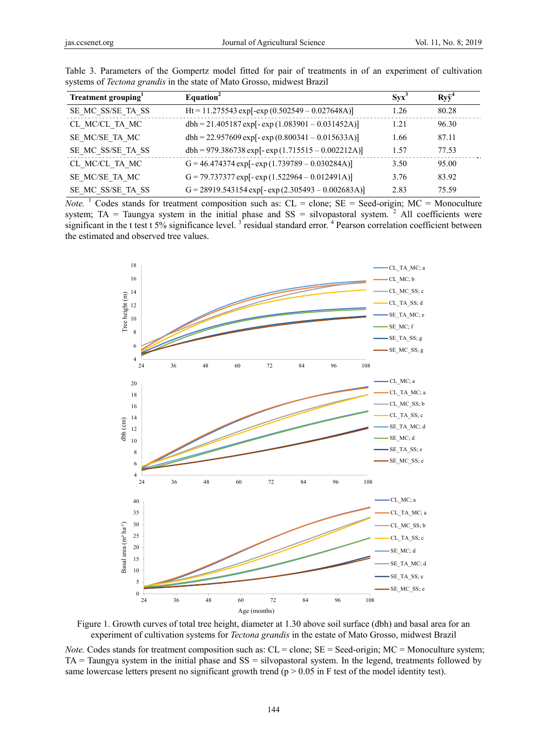| Treatment grouping <sup>1</sup> | Equation <sup>2</sup>                                | $Svx^3$ | $Rv\hat{v}^4$ |
|---------------------------------|------------------------------------------------------|---------|---------------|
| SE MC SS/SE TA SS               | $Ht = 11.275543 \exp[-exp(0.502549 - 0.027648A)]$    | 1.26    | 80.28         |
| CL MC/CL TA MC                  | $dbh = 21.405187 \exp[-exp(1.083901 - 0.031452A)]$   | 1.21    | 96.30         |
| SE MC/SE TA MC                  | $dbh = 22.957609 \exp[-\exp(0.800341 - 0.015633A)]$  | 1.66    | 87.11         |
| SE MC SS/SE TA SS               | $dbh = 979.386738 \exp[-\exp(1.715515 - 0.002212A)]$ | 1.57    | 77.53         |
| CL MC/CL TA MC                  | $G = 46.474374 \exp[-\exp(1.739789 - 0.030284A)]$    | 3.50    | 95.00         |
| SE MC/SE TA MC                  | G = 79.737377 exp[-exp(1.522964 - 0.012491A)]        | 3.76    | 83.92         |
| SE MC SS/SE TA SS               | $G = 28919.543154 \exp[-\exp(2.305493 - 0.002683A)]$ | 2.83    | 75.59         |

Table 3. Parameters of the Gompertz model fitted for pair of treatments in of an experiment of cultivation systems of *Tectona grandis* in the state of Mato Grosso, midwest Brazil

 $Note.$ <sup>1</sup> Codes stands for treatment composition such as:  $CL = clone$ ;  $SE = Seed-origin$ ;  $MC = Monoculture$ system; TA = Taungya system in the initial phase and  $SS = silvopastoral system$ . <sup>2</sup> All coefficients were significant in the t test t 5% significance level.<sup>3</sup> residual standard error.<sup>4</sup> Pearson correlation coefficient between the estimated and observed tree values.



Figure 1. Growth curves of total tree height, diameter at 1.30 above soil surface (dbh) and basal area for an experiment of cultivation systems for *Tectona grandis* in the estate of Mato Grosso, midwest Brazil

*Note.* Codes stands for treatment composition such as:  $CL =$  clone;  $SE =$  Seed-origin;  $MC =$  Monoculture system; TA = Taungya system in the initial phase and SS = silvopastoral system. In the legend, treatments followed by same lowercase letters present no significant growth trend ( $p > 0.05$  in F test of the model identity test).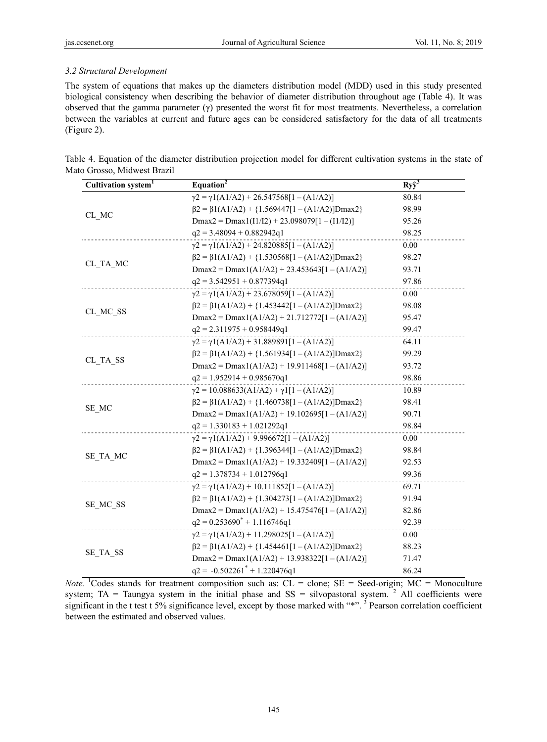# *3.2 Structural Development*

The system of equations that makes up the diameters distribution model (MDD) used in this study presented biological consistency when describing the behavior of diameter distribution throughout age (Table 4). It was observed that the gamma parameter (γ) presented the worst fit for most treatments. Nevertheless, a correlation between the variables at current and future ages can be considered satisfactory for the data of all treatments (Figure 2).

| Table 4. Equation of the diameter distribution projection model for different cultivation systems in the state of |  |  |  |
|-------------------------------------------------------------------------------------------------------------------|--|--|--|
| Mato Grosso, Midwest Brazil                                                                                       |  |  |  |

| Cultivation system <sup>1</sup> | Equation <sup>2</sup>                                       | $Ry\hat{y}^3$ |
|---------------------------------|-------------------------------------------------------------|---------------|
|                                 | $\gamma$ 2 = $\gamma$ 1(A1/A2) + 26.547568[1 – (A1/A2)]     | 80.84         |
| CL_MC                           | $\beta$ 2 = $\beta$ 1(A1/A2) + {1.569447[1 - (A1/A2)]Dmax2} | 98.99         |
|                                 | $Dmax2 = Dmax1(I1/I2) + 23.098079[1 - (I1/I2)]$             | 95.26         |
|                                 | $q2 = 3.48094 + 0.882942q1$                                 | 98.25         |
|                                 | $\gamma$ 2 = $\gamma$ 1(A1/A2) + 24.820885[1 - (A1/A2)]     | 0.00          |
|                                 | $\beta$ 2 = $\beta$ 1(A1/A2) + {1.530568[1 - (A1/A2)]Dmax2} | 98.27         |
| CL TA MC                        | $Dmax2 = Dmax1(A1/A2) + 23.453643[1 - (A1/A2)]$             | 93.71         |
|                                 | $q2 = 3.542951 + 0.877394q1$                                | 97.86         |
|                                 | $\gamma$ 2 = $\gamma$ 1(A1/A2) + 23.678059[1 – (A1/A2)]     | 0.00          |
|                                 | $\beta$ 2 = $\beta$ 1(A1/A2) + {1.453442[1 - (A1/A2)]Dmax2} | 98.08         |
| CL_MC_SS                        | $Dmax2 = Dmax1(A1/A2) + 21.712772[1 - (A1/A2)]$             | 95.47         |
|                                 | $q2 = 2.311975 + 0.958449q1$                                | 99.47         |
|                                 | $\gamma$ 2 = $\gamma$ 1(A1/A2) + 31.889891[1 – (A1/A2)]     | 64.11         |
|                                 | $\beta$ 2 = $\beta$ 1(A1/A2) + {1.561934[1 - (A1/A2)]Dmax2} | 99.29         |
| CL_TA_SS                        | $Dmax2 = Dmax1(A1/A2) + 19.911468[1 - (A1/A2)]$             | 93.72         |
|                                 | $q2 = 1.952914 + 0.985670q1$                                | 98.86         |
|                                 | $\gamma$ 2 = 10.088633(A1/A2) + $\gamma$ 1[1 – (A1/A2)]     | 10.89         |
|                                 | $\beta$ 2 = $\beta$ 1(A1/A2) + {1.460738[1 - (A1/A2)]Dmax2} | 98.41         |
| SE MC                           | $Dmax2 = Dmax1(A1/A2) + 19.102695[1 - (A1/A2)]$             | 90.71         |
|                                 | $q2 = 1.330183 + 1.021292q1$                                | 98.84         |
|                                 | $\gamma$ 2 = $\gamma$ 1(A1/A2) + 9.996672[1 – (A1/A2)]      | 0.00          |
|                                 | $\beta$ 2 = $\beta$ 1(A1/A2) + {1.396344[1 - (A1/A2)]Dmax2} | 98.84         |
| SE TA MC                        | $Dmax2 = Dmax1(A1/A2) + 19.332409[1 - (A1/A2)]$             | 92.53         |
|                                 | $q2 = 1.378734 + 1.012796q1$                                | 99.36         |
|                                 | $\gamma$ 2 = $\gamma$ 1(A1/A2) + 10.111852[1 - (A1/A2)]     | 69.71         |
|                                 | $\beta$ 2 = $\beta$ 1(A1/A2) + {1.304273[1 – (A1/A2)]Dmax2} | 91.94         |
| SE MC SS                        | $Dmax2 = Dmax1(A1/A2) + 15.475476[1 - (A1/A2)]$             | 82.86         |
|                                 | $q2 = 0.253690^* + 1.116746q1$                              | 92.39         |
|                                 | $\gamma$ 2 = $\gamma$ 1(A1/A2) + 11.298025[1 - (A1/A2)]     | 0.00          |
|                                 | $\beta$ 2 = $\beta$ 1(A1/A2) + {1.454461[1 - (A1/A2)]Dmax2} | 88.23         |
| SE TA SS                        | $Dmax2 = Dmax1(A1/A2) + 13.938322[1 - (A1/A2)]$             | 71.47         |
|                                 | $q2 = -0.502261^* + 1.220476q1$                             | 86.24         |

*Note*. <sup>1</sup>Codes stands for treatment composition such as:  $CL =$  clone;  $SE =$  Seed-origin;  $MC =$  Monoculture system; TA = Taungya system in the initial phase and  $SS = silvopastoral system$ . <sup>2</sup> All coefficients were significant in the t test t 5% significance level, except by those marked with "\*".<sup>3</sup> Pearson correlation coefficient between the estimated and observed values.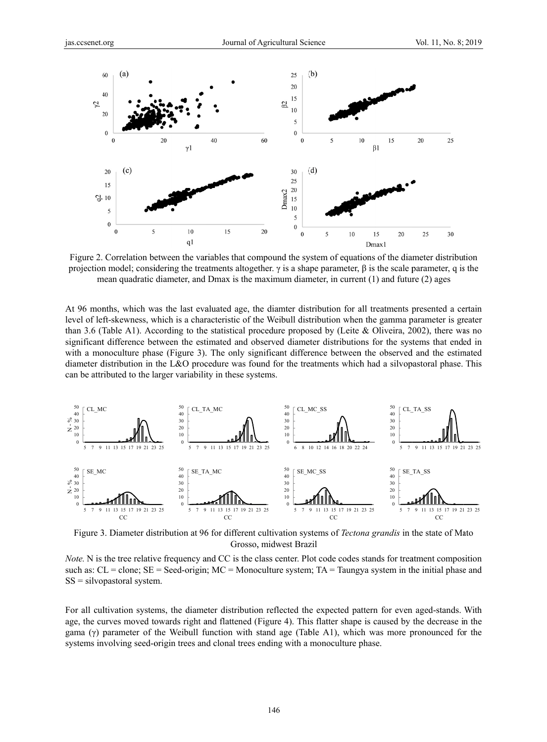

Figure 2. Correlation between the variables that compound the system of equations of the diameter distribution projection model; considering the treatments altogether. γ is a shape parameter,  $β$  is the scale parameter, q is the mean quadratic diameter, and Dmax is the maximum diameter, in current (1) and future (2) ages

At 96 months, which was the last evaluated age, the diamter distribution for all treatments presented a certain level of left-skewness, which is a characteristic of the Weibull distribution when the gamma parameter is greater than 3.6 (Table A1). According to the statistical procedure proposed by (Leite & Oliveira, 2002), there was no significant difference between the estimated and observed diameter distributions for the systems that ended in with a monoculture phase (Figure 3). The only significant difference between the observed and the estimated diameter distribution in the L&O procedure was found for the treatments which had a silvopastoral phase. This can be attributed to the larger variability in these systems.



Figure 3. Diameter distribution at 96 for different cultivation systems of *Tectona grandis* in the state of Mato Grosso, midwest Brazil

Note. N is the tree relative frequency and CC is the class center. Plot code codes stands for treatment composition such as:  $CL = clone$ ;  $SE = Seed-origin$ ;  $MC = Monoculture system$ ;  $TA = Taungya$  system in the initial phase and SS = silvopastoral system.

For all cultivation systems, the diameter distribution reflected the expected pattern for even aged-stands. With age, the curves moved towards right and flattened (Figure 4). This flatter shape is caused by the decrease in the gama  $(\gamma)$  parameter of the Weibull function with stand age (Table A1), which was more pronounced for the systems involving seed-origin trees and clonal trees ending with a monoculture phase.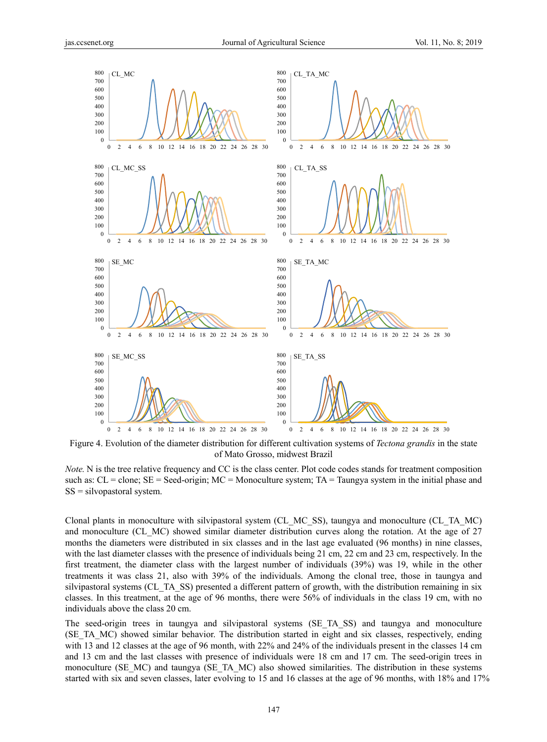

Figure 4. Evolution of the diameter distribution for different cultivation systems of *Tectona grandis* in the state of Mato Grosso, midwest Brazil

*Note.* N is the tree relative frequency and CC is the class center. Plot code codes stands for treatment composition such as:  $CL = clone$ ;  $SE = Seed-origin$ ;  $MC = Monoculture system$ ;  $TA = Taungya$  system in the initial phase and SS = silvopastoral system.

Clonal plants in monoculture with silvipastoral system (CL\_MC\_SS), taungya and monoculture (CL\_TA\_MC) and monoculture (CL\_MC) showed similar diameter distribution curves along the rotation. At the age of 27 months the diameters were distributed in six classes and in the last age evaluated (96 months) in nine classes, with the last diameter classes with the presence of individuals being 21 cm, 22 cm and 23 cm, respectively. In the first treatment, the diameter class with the largest number of individuals (39%) was 19, while in the other treatments it was class 21, also with 39% of the individuals. Among the clonal tree, those in taungya and silvipastoral systems (CL\_TA\_SS) presented a different pattern of growth, with the distribution remaining in six classes. In this treatment, at the age of 96 months, there were 56% of individuals in the class 19 cm, with no individuals above the class 20 cm.

The seed-origin trees in taungya and silvipastoral systems (SE\_TA\_SS) and taungya and monoculture (SE\_TA\_MC) showed similar behavior. The distribution started in eight and six classes, respectively, ending with 13 and 12 classes at the age of 96 month, with 22% and 24% of the individuals present in the classes 14 cm and 13 cm and the last classes with presence of individuals were 18 cm and 17 cm. The seed-origin trees in monoculture (SE\_MC) and taungya (SE\_TA\_MC) also showed similarities. The distribution in these systems started with six and seven classes, later evolving to 15 and 16 classes at the age of 96 months, with 18% and 17%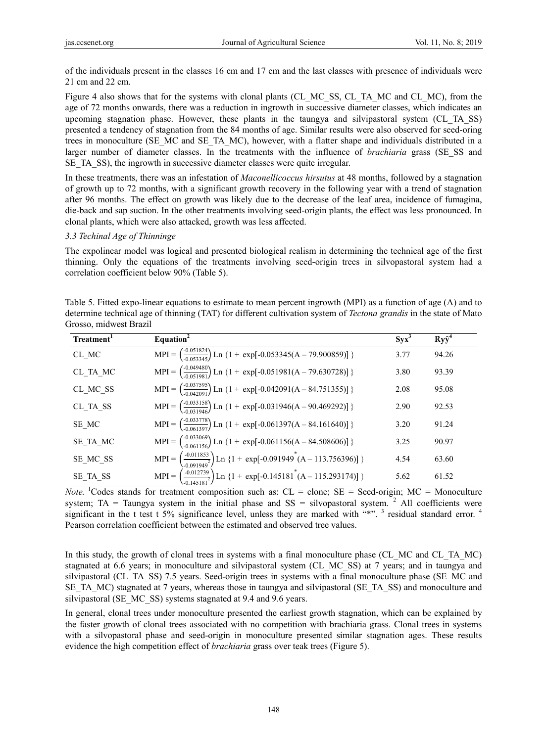of the individuals present in the classes 16 cm and 17 cm and the last classes with presence of individuals were 21 cm and 22 cm.

Figure 4 also shows that for the systems with clonal plants (CL\_MC\_SS, CL\_TA\_MC and CL\_MC), from the age of 72 months onwards, there was a reduction in ingrowth in successive diameter classes, which indicates an upcoming stagnation phase. However, these plants in the taungya and silvipastoral system (CL\_TA\_SS) presented a tendency of stagnation from the 84 months of age. Similar results were also observed for seed-oring trees in monoculture (SE\_MC and SE\_TA\_MC), however, with a flatter shape and individuals distributed in a larger number of diameter classes. In the treatments with the influence of *brachiaria* grass (SE\_SS and SE TA SS), the ingrowth in successive diameter classes were quite irregular.

In these treatments, there was an infestation of *Maconellicoccus hirsutus* at 48 months, followed by a stagnation of growth up to 72 months, with a significant growth recovery in the following year with a trend of stagnation after 96 months. The effect on growth was likely due to the decrease of the leaf area, incidence of fumagina, die-back and sap suction. In the other treatments involving seed-origin plants, the effect was less pronounced. In clonal plants, which were also attacked, growth was less affected.

## *3.3 Techinal Age of Thinninge*

The expolinear model was logical and presented biological realism in determining the technical age of the first thinning. Only the equations of the treatments involving seed-origin trees in silvopastoral system had a correlation coefficient below 90% (Table 5).

| Table 5. Fitted expo-linear equations to estimate to mean percent ingrowth (MPI) as a function of age (A) and to          |
|---------------------------------------------------------------------------------------------------------------------------|
| determine technical age of thinning (TAT) for different cultivation system of <i>Tectona grandis</i> in the state of Mato |
| Grosso, midwest Brazil                                                                                                    |

| Treatment <sup>1</sup> | Equation <sup>2</sup>                                                                                         | $Syx^3$ | $Ry\hat{y}^4$ |
|------------------------|---------------------------------------------------------------------------------------------------------------|---------|---------------|
| CL MC                  | MPI = $\left(\frac{0.051824}{0.053345}\right)$ Ln {1 + exp[-0.053345(A – 79.900859)] }                        | 3.77    | 94.26         |
| CL TA MC               | MPI = $\left(\frac{0.049480}{0.051981}\right)$ Ln {1 + exp[-0.051981(A – 79.630728)] }                        | 3.80    | 93.39         |
| CL MC SS               | MPI = $\left(\frac{0.037595}{0.042091}\right)$ Ln {1 + exp[-0.042091(A – 84.751355)] }                        | 2.08    | 95.08         |
| CL TA SS               | MPI = $\left(\frac{0.033158}{0.031946}\right)$ Ln {1 + exp[-0.031946(A – 90.469292)] }                        | 2.90    | 92.53         |
| SE MC                  | MPI = $\left(\frac{0.033778}{0.061397}\right)$ Ln {1 + exp[-0.061397(A – 84.161640)] }                        | 3.20    | 91.24         |
| SE TA MC               | MPI = $\left(\frac{0.033069}{0.061156}\right)$ Ln {1 + exp[-0.061156(A – 84.508606)] }                        | 3.25    | 90.97         |
| SE MC SS               | MPI = $\left(\frac{0.011853}{0.091949^2}\right)$ Ln {1 + exp[-0.091949 <sup>*</sup> (A – 113.756396)] }       | 4.54    | 63.60         |
| SE TA SS               | MPI = $\left(\frac{-.0.012739}{-.0.145181^{2}}\right)$ Ln {1 + exp[-0.145181 <sup>*</sup> (A – 115.293174)] } | 5.62    | 61.52         |

*Note.* <sup>1</sup>Codes stands for treatment composition such as:  $CL =$  clone;  $SE =$  Seed-origin;  $MC =$  Monoculture system; TA = Taungya system in the initial phase and  $SS = silvopastoral system$ <sup>2</sup> All coefficients were significant in the t test t 5% significance level, unless they are marked with  $4$ ,  $4$  residual standard error.  $4$ Pearson correlation coefficient between the estimated and observed tree values.

In this study, the growth of clonal trees in systems with a final monoculture phase (CL\_MC and CL\_TA\_MC) stagnated at 6.6 years; in monoculture and silvipastoral system (CL\_MC\_SS) at 7 years; and in taungya and silvipastoral (CL\_TA\_SS) 7.5 years. Seed-origin trees in systems with a final monoculture phase (SE\_MC and SE\_TA\_MC) stagnated at 7 years, whereas those in taungya and silvipastoral (SE\_TA\_SS) and monoculture and silvipastoral (SE\_MC\_SS) systems stagnated at 9.4 and 9.6 years.

In general, clonal trees under monoculture presented the earliest growth stagnation, which can be explained by the faster growth of clonal trees associated with no competition with brachiaria grass. Clonal trees in systems with a silvopastoral phase and seed-origin in monoculture presented similar stagnation ages. These results evidence the high competition effect of *brachiaria* grass over teak trees (Figure 5).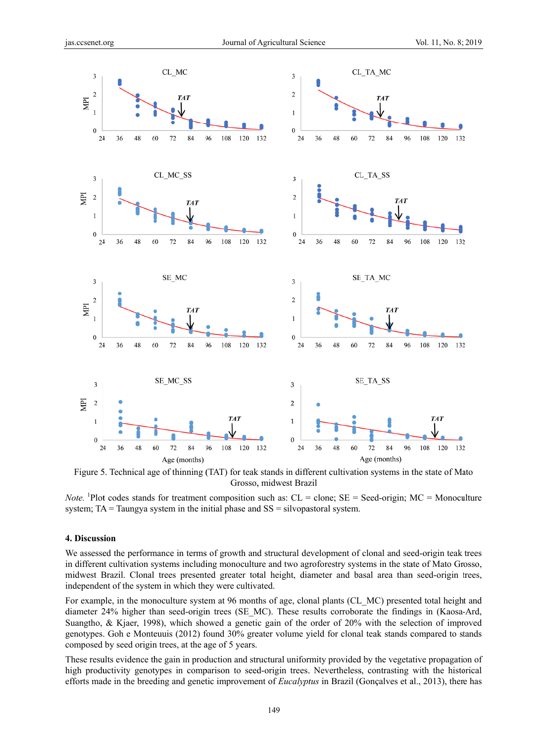

Figure 5. Technical age of thinning (TAT) for teak stands in different cultivation systems in the state of Mato Grosso, midwest Brazil

*Note.* <sup>1</sup>Plot codes stands for treatment composition such as:  $CL = clone$ ;  $SE = Seed-origin$ ;  $MC = Monoculture$ system;  $TA = Taungya$  system in the initial phase and  $SS = silvopastoral$  system.

#### **4. Discuss sion**

We assessed the performance in terms of growth and structural development of clonal and seed-origin teak trees in different cultivation systems including monoculture and two agroforestry systems in the state of Mato Grosso, midwest Brazil. Clonal trees presented greater total height, diameter and basal area than seed-origin trees, independent of the system in which they were cultivated.

For example, in the monoculture system at 96 months of age, clonal plants (CL MC) presented total height and diameter 24% higher than seed-origin trees (SE MC). These results corroborate the findings in (Kaosa-Ard, Suangtho, & Kjaer, 1998), which showed a genetic gain of the order of 20% with the selection of improved genotypes. Goh e Monteuuis (2012) found 30% greater volume yield for clonal teak stands compared to stands composed by seed origin trees, at the age of 5 years.

These results evidence the gain in production and structural uniformity provided by the vegetative propagation of high productivity genotypes in comparison to seed-origin trees. Nevertheless, contrasting with the historical efforts made in the breeding and genetic improvement of *Eucalyptus* in Brazil (Gonçalves et al., 2013), there has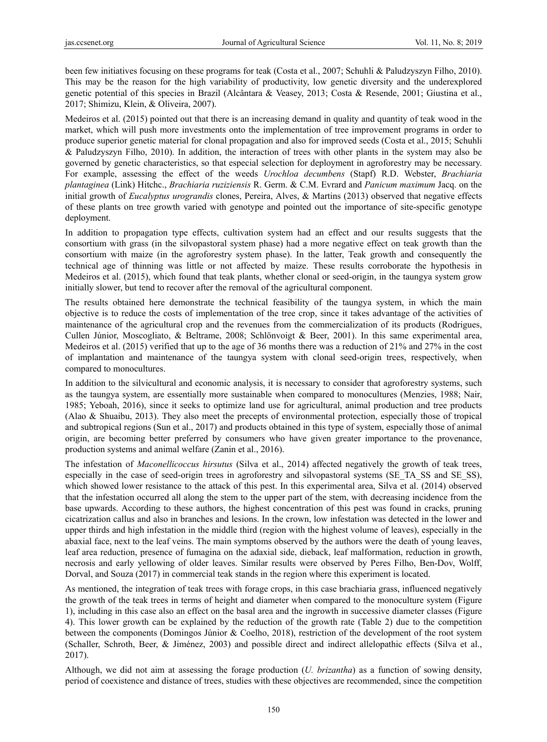been few initiatives focusing on these programs for teak (Costa et al., 2007; Schuhli & Paludzyszyn Filho, 2010). This may be the reason for the high variability of productivity, low genetic diversity and the underexplored genetic potential of this species in Brazil (Alcântara & Veasey, 2013; Costa & Resende, 2001; Giustina et al., 2017; Shimizu, Klein, & Oliveira, 2007).

Medeiros et al. (2015) pointed out that there is an increasing demand in quality and quantity of teak wood in the market, which will push more investments onto the implementation of tree improvement programs in order to produce superior genetic material for clonal propagation and also for improved seeds (Costa et al., 2015; Schuhli & Paludzyszyn Filho, 2010). In addition, the interaction of trees with other plants in the system may also be governed by genetic characteristics, so that especial selection for deployment in agroforestry may be necessary. For example, assessing the effect of the weeds *Urochloa decumbens* (Stapf) R.D. Webster, *Brachiaria plantaginea* (Link) Hitchc., *Brachiaria ruziziensis* R. Germ. & C.M. Evrard and *Panicum maximum* Jacq. on the initial growth of *Eucalyptus urograndis* clones, Pereira, Alves, & Martins (2013) observed that negative effects of these plants on tree growth varied with genotype and pointed out the importance of site-specific genotype deployment.

In addition to propagation type effects, cultivation system had an effect and our results suggests that the consortium with grass (in the silvopastoral system phase) had a more negative effect on teak growth than the consortium with maize (in the agroforestry system phase). In the latter, Teak growth and consequently the technical age of thinning was little or not affected by maize. These results corroborate the hypothesis in Medeiros et al. (2015), which found that teak plants, whether clonal or seed-origin, in the taungya system grow initially slower, but tend to recover after the removal of the agricultural component.

The results obtained here demonstrate the technical feasibility of the taungya system, in which the main objective is to reduce the costs of implementation of the tree crop, since it takes advantage of the activities of maintenance of the agricultural crop and the revenues from the commercialization of its products (Rodrigues, Cullen Júnior, Moscogliato, & Beltrame, 2008; Schlönvoigt & Beer, 2001). In this same experimental area, Medeiros et al. (2015) verified that up to the age of 36 months there was a reduction of 21% and 27% in the cost of implantation and maintenance of the taungya system with clonal seed-origin trees, respectively, when compared to monocultures.

In addition to the silvicultural and economic analysis, it is necessary to consider that agroforestry systems, such as the taungya system, are essentially more sustainable when compared to monocultures (Menzies, 1988; Nair, 1985; Yeboah, 2016), since it seeks to optimize land use for agricultural, animal production and tree products (Alao & Shuaibu, 2013). They also meet the precepts of environmental protection, especially those of tropical and subtropical regions (Sun et al., 2017) and products obtained in this type of system, especially those of animal origin, are becoming better preferred by consumers who have given greater importance to the provenance, production systems and animal welfare (Zanin et al., 2016).

The infestation of *Maconellicoccus hirsutus* (Silva et al., 2014) affected negatively the growth of teak trees, especially in the case of seed-origin trees in agroforestry and silvopastoral systems (SE\_TA\_SS and SE\_SS), which showed lower resistance to the attack of this pest. In this experimental area, Silva et al. (2014) observed that the infestation occurred all along the stem to the upper part of the stem, with decreasing incidence from the base upwards. According to these authors, the highest concentration of this pest was found in cracks, pruning cicatrization callus and also in branches and lesions. In the crown, low infestation was detected in the lower and upper thirds and high infestation in the middle third (region with the highest volume of leaves), especially in the abaxial face, next to the leaf veins. The main symptoms observed by the authors were the death of young leaves, leaf area reduction, presence of fumagina on the adaxial side, dieback, leaf malformation, reduction in growth, necrosis and early yellowing of older leaves. Similar results were observed by Peres Filho, Ben-Dov, Wolff, Dorval, and Souza (2017) in commercial teak stands in the region where this experiment is located.

As mentioned, the integration of teak trees with forage crops, in this case brachiaria grass, influenced negatively the growth of the teak trees in terms of height and diameter when compared to the monoculture system (Figure 1), including in this case also an effect on the basal area and the ingrowth in successive diameter classes (Figure 4). This lower growth can be explained by the reduction of the growth rate (Table 2) due to the competition between the components (Domingos Júnior & Coelho, 2018), restriction of the development of the root system (Schaller, Schroth, Beer, & Jiménez, 2003) and possible direct and indirect allelopathic effects (Silva et al., 2017).

Although, we did not aim at assessing the forage production (*U. brizantha*) as a function of sowing density, period of coexistence and distance of trees, studies with these objectives are recommended, since the competition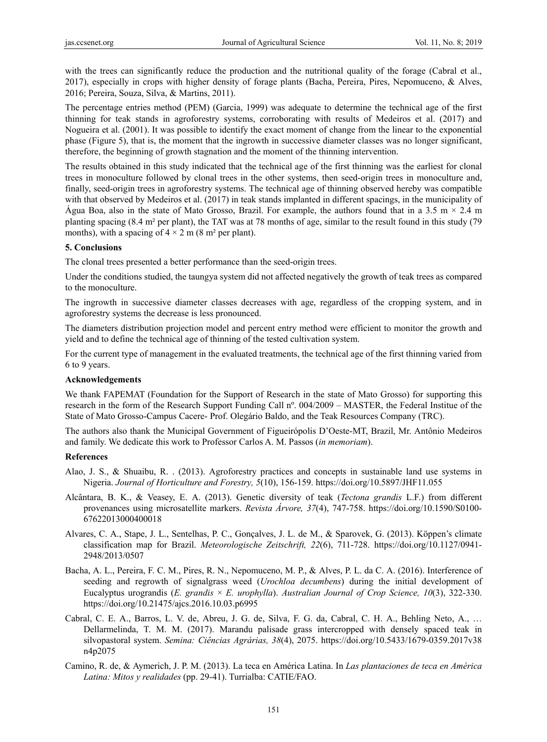with the trees can significantly reduce the production and the nutritional quality of the forage (Cabral et al., 2017), especially in crops with higher density of forage plants (Bacha, Pereira, Pires, Nepomuceno, & Alves, 2016; Pereira, Souza, Silva, & Martins, 2011).

The percentage entries method (PEM) (Garcia, 1999) was adequate to determine the technical age of the first thinning for teak stands in agroforestry systems, corroborating with results of Medeiros et al. (2017) and Nogueira et al. (2001). It was possible to identify the exact moment of change from the linear to the exponential phase (Figure 5), that is, the moment that the ingrowth in successive diameter classes was no longer significant, therefore, the beginning of growth stagnation and the moment of the thinning intervention.

The results obtained in this study indicated that the technical age of the first thinning was the earliest for clonal trees in monoculture followed by clonal trees in the other systems, then seed-origin trees in monoculture and, finally, seed-origin trees in agroforestry systems. The technical age of thinning observed hereby was compatible with that observed by Medeiros et al. (2017) in teak stands implanted in different spacings, in the municipality of Água Boa, also in the state of Mato Grosso, Brazil. For example, the authors found that in a 3.5 m  $\times$  2.4 m planting spacing (8.4 m² per plant), the TAT was at 78 months of age, similar to the result found in this study (79 months), with a spacing of  $4 \times 2$  m (8 m<sup>2</sup> per plant).

# **5. Conclusions**

The clonal trees presented a better performance than the seed-origin trees.

Under the conditions studied, the taungya system did not affected negatively the growth of teak trees as compared to the monoculture.

The ingrowth in successive diameter classes decreases with age, regardless of the cropping system, and in agroforestry systems the decrease is less pronounced.

The diameters distribution projection model and percent entry method were efficient to monitor the growth and yield and to define the technical age of thinning of the tested cultivation system.

For the current type of management in the evaluated treatments, the technical age of the first thinning varied from 6 to 9 years.

### **Acknowledgements**

We thank FAPEMAT (Foundation for the Support of Research in the state of Mato Grosso) for supporting this research in the form of the Research Support Funding Call nº. 004/2009 – MASTER, the Federal Institue of the State of Mato Grosso-Campus Cacere- Prof. Olegário Baldo, and the Teak Resources Company (TRC).

The authors also thank the Municipal Government of Figueirópolis D'Oeste-MT, Brazil, Mr. Antônio Medeiros and family. We dedicate this work to Professor Carlos A. M. Passos (*in memoriam*).

### **References**

- Alao, J. S., & Shuaibu, R. . (2013). Agroforestry practices and concepts in sustainable land use systems in Nigeria. *Journal of Horticulture and Forestry, 5*(10), 156-159. https://doi.org/10.5897/JHF11.055
- Alcântara, B. K., & Veasey, E. A. (2013). Genetic diversity of teak (*Tectona grandis* L.F.) from different provenances using microsatellite markers. *Revista Árvore, 37*(4), 747-758. https://doi.org/10.1590/S0100- 67622013000400018
- Alvares, C. A., Stape, J. L., Sentelhas, P. C., Gonçalves, J. L. de M., & Sparovek, G. (2013). Köppen's climate classification map for Brazil. *Meteorologische Zeitschrift, 22*(6), 711-728. https://doi.org/10.1127/0941- 2948/2013/0507
- Bacha, A. L., Pereira, F. C. M., Pires, R. N., Nepomuceno, M. P., & Alves, P. L. da C. A. (2016). Interference of seeding and regrowth of signalgrass weed (*Urochloa decumbens*) during the initial development of Eucalyptus urograndis (*E. grandis* × *E. urophylla*). *Australian Journal of Crop Science, 10*(3), 322-330. https://doi.org/10.21475/ajcs.2016.10.03.p6995
- Cabral, C. E. A., Barros, L. V. de, Abreu, J. G. de, Silva, F. G. da, Cabral, C. H. A., Behling Neto, A., … Dellarmelinda, T. M. M. (2017). Marandu palisade grass intercropped with densely spaced teak in silvopastoral system. *Semina: Ciências Agrárias, 38*(4), 2075. https://doi.org/10.5433/1679-0359.2017v38 n4p2075
- Camino, R. de, & Aymerich, J. P. M. (2013). La teca en América Latina. In *Las plantaciones de teca en América Latina: Mitos y realidades* (pp. 29-41). Turrialba: CATIE/FAO.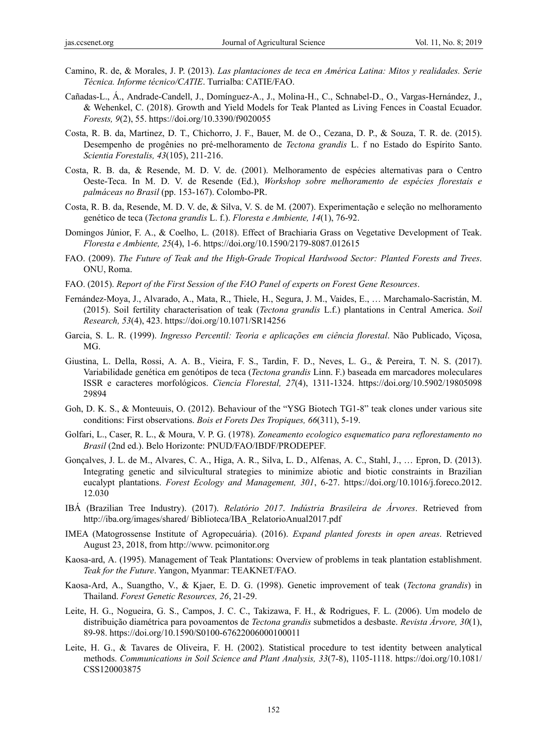- Camino, R. de, & Morales, J. P. (2013). *Las plantaciones de teca en América Latina: Mitos y realidades. Serie Técnica. Informe técnico/CATIE*. Turrialba: CATIE/FAO.
- Cañadas-L., Á., Andrade-Candell, J., Domínguez-A., J., Molina-H., C., Schnabel-D., O., Vargas-Hernández, J., & Wehenkel, C. (2018). Growth and Yield Models for Teak Planted as Living Fences in Coastal Ecuador. *Forests, 9*(2), 55. https://doi.org/10.3390/f9020055
- Costa, R. B. da, Martinez, D. T., Chichorro, J. F., Bauer, M. de O., Cezana, D. P., & Souza, T. R. de. (2015). Desempenho de progênies no pré-melhoramento de *Tectona grandis* L. f no Estado do Espírito Santo. *Scientia Forestalis, 43*(105), 211-216.
- Costa, R. B. da, & Resende, M. D. V. de. (2001). Melhoramento de espécies alternativas para o Centro Oeste-Teca. In M. D. V. de Resende (Ed.), *Workshop sobre melhoramento de espécies florestais e palmáceas no Brasil* (pp. 153-167). Colombo-PR.
- Costa, R. B. da, Resende, M. D. V. de, & Silva, V. S. de M. (2007). Experimentação e seleção no melhoramento genético de teca (*Tectona grandis* L. f.). *Floresta e Ambiente, 14*(1), 76-92.
- Domingos Júnior, F. A., & Coelho, L. (2018). Effect of Brachiaria Grass on Vegetative Development of Teak. *Floresta e Ambiente, 25*(4), 1-6. https://doi.org/10.1590/2179-8087.012615
- FAO. (2009). *The Future of Teak and the High-Grade Tropical Hardwood Sector: Planted Forests and Trees*. ONU, Roma.
- FAO. (2015). *Report of the First Session of the FAO Panel of experts on Forest Gene Resources*.
- Fernández-Moya, J., Alvarado, A., Mata, R., Thiele, H., Segura, J. M., Vaides, E., … Marchamalo-Sacristán, M. (2015). Soil fertility characterisation of teak (*Tectona grandis* L.f.) plantations in Central America. *Soil Research, 53*(4), 423. https://doi.org/10.1071/SR14256
- Garcia, S. L. R. (1999). *Ingresso Percentil: Teoria e aplicações em ciência florestal*. Não Publicado, Viçosa, MG.
- Giustina, L. Della, Rossi, A. A. B., Vieira, F. S., Tardin, F. D., Neves, L. G., & Pereira, T. N. S. (2017). Variabilidade genética em genótipos de teca (*Tectona grandis* Linn. F.) baseada em marcadores moleculares ISSR e caracteres morfológicos. *Ciencia Florestal, 27*(4), 1311-1324. https://doi.org/10.5902/19805098 29894
- Goh, D. K. S., & Monteuuis, O. (2012). Behaviour of the "YSG Biotech TG1-8" teak clones under various site conditions: First observations. *Bois et Forets Des Tropiques, 66*(311), 5-19.
- Golfari, L., Caser, R. L., & Moura, V. P. G. (1978). *Zoneamento ecologico esquematico para reflorestamento no Brasil* (2nd ed.). Belo Horizonte: PNUD/FAO/IBDF/PRODEPEF.
- Gonçalves, J. L. de M., Alvares, C. A., Higa, A. R., Silva, L. D., Alfenas, A. C., Stahl, J., … Epron, D. (2013). Integrating genetic and silvicultural strategies to minimize abiotic and biotic constraints in Brazilian eucalypt plantations. *Forest Ecology and Management, 301*, 6-27. https://doi.org/10.1016/j.foreco.2012. 12.030
- IBÁ (Brazilian Tree Industry). (2017). *Relatório 2017*. *Indústria Brasileira de Árvores*. Retrieved from http://iba.org/images/shared/ Biblioteca/IBA\_RelatorioAnual2017.pdf
- IMEA (Matogrossense Institute of Agropecuária). (2016). *Expand planted forests in open areas*. Retrieved August 23, 2018, from http://www. pcimonitor.org
- Kaosa-ard, A. (1995). Management of Teak Plantations: Overview of problems in teak plantation establishment. *Teak for the Future*. Yangon, Myanmar: TEAKNET/FAO.
- Kaosa-Ard, A., Suangtho, V., & Kjaer, E. D. G. (1998). Genetic improvement of teak (*Tectona grandis*) in Thailand. *Forest Genetic Resources, 26*, 21-29.
- Leite, H. G., Nogueira, G. S., Campos, J. C. C., Takizawa, F. H., & Rodrigues, F. L. (2006). Um modelo de distribuição diamétrica para povoamentos de *Tectona grandis* submetidos a desbaste. *Revista Árvore, 30*(1), 89-98. https://doi.org/10.1590/S0100-67622006000100011
- Leite, H. G., & Tavares de Oliveira, F. H. (2002). Statistical procedure to test identity between analytical methods. *Communications in Soil Science and Plant Analysis, 33*(7-8), 1105-1118. https://doi.org/10.1081/ CSS120003875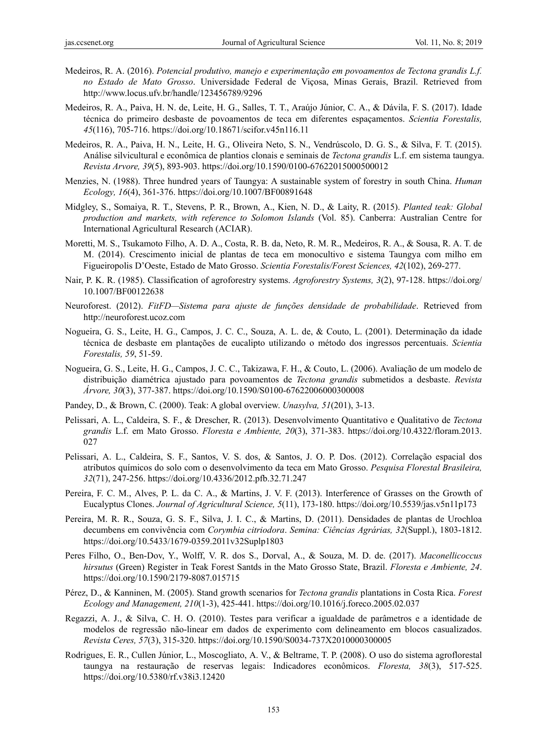- Medeiros, R. A. (2016). *Potencial produtivo, manejo e experimentação em povoamentos de Tectona grandis L.f. no Estado de Mato Grosso*. Universidade Federal de Viçosa, Minas Gerais, Brazil. Retrieved from http://www.locus.ufv.br/handle/123456789/9296
- Medeiros, R. A., Paiva, H. N. de, Leite, H. G., Salles, T. T., Araújo Júnior, C. A., & Dávila, F. S. (2017). Idade técnica do primeiro desbaste de povoamentos de teca em diferentes espaçamentos. *Scientia Forestalis, 45*(116), 705-716. https://doi.org/10.18671/scifor.v45n116.11
- Medeiros, R. A., Paiva, H. N., Leite, H. G., Oliveira Neto, S. N., Vendrúscolo, D. G. S., & Silva, F. T. (2015). Análise silvicultural e econômica de plantios clonais e seminais de *Tectona grandis* L.f. em sistema taungya. *Revista Arvore, 39*(5), 893-903. https://doi.org/10.1590/0100-67622015000500012
- Menzies, N. (1988). Three hundred years of Taungya: A sustainable system of forestry in south China. *Human Ecology, 16*(4), 361-376. https://doi.org/10.1007/BF00891648
- Midgley, S., Somaiya, R. T., Stevens, P. R., Brown, A., Kien, N. D., & Laity, R. (2015). *Planted teak: Global production and markets, with reference to Solomon Islands* (Vol. 85). Canberra: Australian Centre for International Agricultural Research (ACIAR).
- Moretti, M. S., Tsukamoto Filho, A. D. A., Costa, R. B. da, Neto, R. M. R., Medeiros, R. A., & Sousa, R. A. T. de M. (2014). Crescimento inicial de plantas de teca em monocultivo e sistema Taungya com milho em Figueiropolis D'Oeste, Estado de Mato Grosso. *Scientia Forestalis/Forest Sciences, 42*(102), 269-277.
- Nair, P. K. R. (1985). Classification of agroforestry systems. *Agroforestry Systems, 3*(2), 97-128. https://doi.org/ 10.1007/BF00122638
- Neuroforest. (2012). *FitFD—Sistema para ajuste de funções densidade de probabilidade*. Retrieved from http://neuroforest.ucoz.com
- Nogueira, G. S., Leite, H. G., Campos, J. C. C., Souza, A. L. de, & Couto, L. (2001). Determinação da idade técnica de desbaste em plantações de eucalipto utilizando o método dos ingressos percentuais. *Scientia Forestalis, 59*, 51-59.
- Nogueira, G. S., Leite, H. G., Campos, J. C. C., Takizawa, F. H., & Couto, L. (2006). Avaliação de um modelo de distribuição diamétrica ajustado para povoamentos de *Tectona grandis* submetidos a desbaste. *Revista Árvore, 30*(3), 377-387. https://doi.org/10.1590/S0100-67622006000300008
- Pandey, D., & Brown, C. (2000). Teak: A global overview. *Unasylva, 51*(201), 3-13.
- Pelissari, A. L., Caldeira, S. F., & Drescher, R. (2013). Desenvolvimento Quantitativo e Qualitativo de *Tectona grandis* L.f. em Mato Grosso. *Floresta e Ambiente, 20*(3), 371-383. https://doi.org/10.4322/floram.2013. 027
- Pelissari, A. L., Caldeira, S. F., Santos, V. S. dos, & Santos, J. O. P. Dos. (2012). Correlação espacial dos atributos químicos do solo com o desenvolvimento da teca em Mato Grosso. *Pesquisa Florestal Brasileira, 32*(71), 247-256. https://doi.org/10.4336/2012.pfb.32.71.247
- Pereira, F. C. M., Alves, P. L. da C. A., & Martins, J. V. F. (2013). Interference of Grasses on the Growth of Eucalyptus Clones. *Journal of Agricultural Science, 5*(11), 173-180. https://doi.org/10.5539/jas.v5n11p173
- Pereira, M. R. R., Souza, G. S. F., Silva, J. I. C., & Martins, D. (2011). Densidades de plantas de Urochloa decumbens em convivência com *Corymbia citriodora*. *Semina: Ciências Agrárias, 32*(Suppl.), 1803-1812. https://doi.org/10.5433/1679-0359.2011v32Suplp1803
- Peres Filho, O., Ben-Dov, Y., Wolff, V. R. dos S., Dorval, A., & Souza, M. D. de. (2017). *Maconellicoccus hirsutus* (Green) Register in Teak Forest Santds in the Mato Grosso State, Brazil. *Floresta e Ambiente, 24*. https://doi.org/10.1590/2179-8087.015715
- Pérez, D., & Kanninen, M. (2005). Stand growth scenarios for *Tectona grandis* plantations in Costa Rica. *Forest Ecology and Management, 210*(1-3), 425-441. https://doi.org/10.1016/j.foreco.2005.02.037
- Regazzi, A. J., & Silva, C. H. O. (2010). Testes para verificar a igualdade de parâmetros e a identidade de modelos de regressão não-linear em dados de experimento com delineamento em blocos casualizados. *Revista Ceres, 57*(3), 315-320. https://doi.org/10.1590/S0034-737X2010000300005
- Rodrigues, E. R., Cullen Júnior, L., Moscogliato, A. V., & Beltrame, T. P. (2008). O uso do sistema agroflorestal taungya na restauração de reservas legais: Indicadores econômicos. *Floresta, 38*(3), 517-525. https://doi.org/10.5380/rf.v38i3.12420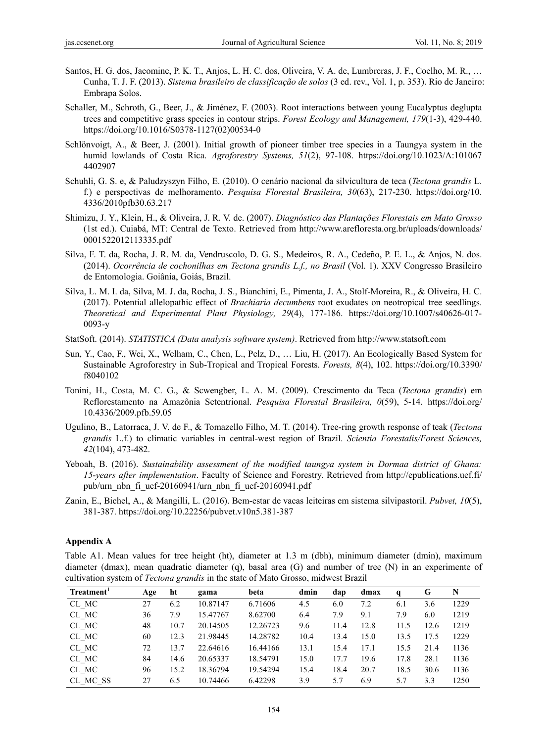- Santos, H. G. dos, Jacomine, P. K. T., Anjos, L. H. C. dos, Oliveira, V. A. de, Lumbreras, J. F., Coelho, M. R., … Cunha, T. J. F. (2013). *Sistema brasileiro de classificação de solos* (3 ed. rev., Vol. 1, p. 353). Rio de Janeiro: Embrapa Solos.
- Schaller, M., Schroth, G., Beer, J., & Jiménez, F. (2003). Root interactions between young Eucalyptus deglupta trees and competitive grass species in contour strips. *Forest Ecology and Management, 179*(1-3), 429-440. https://doi.org/10.1016/S0378-1127(02)00534-0
- Schlönvoigt, A., & Beer, J. (2001). Initial growth of pioneer timber tree species in a Taungya system in the humid lowlands of Costa Rica. *Agroforestry Systems, 51*(2), 97-108. https://doi.org/10.1023/A:101067 4402907
- Schuhli, G. S. e, & Paludzyszyn Filho, E. (2010). O cenário nacional da silvicultura de teca (*Tectona grandis* L. f.) e perspectivas de melhoramento. *Pesquisa Florestal Brasileira, 30*(63), 217-230. https://doi.org/10. 4336/2010pfb30.63.217
- Shimizu, J. Y., Klein, H., & Oliveira, J. R. V. de. (2007). *Diagnóstico das Plantações Florestais em Mato Grosso* (1st ed.). Cuiabá, MT: Central de Texto. Retrieved from http://www.arefloresta.org.br/uploads/downloads/ 0001522012113335.pdf
- Silva, F. T. da, Rocha, J. R. M. da, Vendruscolo, D. G. S., Medeiros, R. A., Cedeño, P. E. L., & Anjos, N. dos. (2014). *Ocorrência de cochonilhas em Tectona grandis L.f., no Brasil* (Vol. 1). XXV Congresso Brasileiro de Entomologia. Goiânia, Goiás, Brazil.
- Silva, L. M. I. da, Silva, M. J. da, Rocha, J. S., Bianchini, E., Pimenta, J. A., Stolf-Moreira, R., & Oliveira, H. C. (2017). Potential allelopathic effect of *Brachiaria decumbens* root exudates on neotropical tree seedlings. *Theoretical and Experimental Plant Physiology, 29*(4), 177-186. https://doi.org/10.1007/s40626-017- 0093-y
- StatSoft. (2014). *STATISTICA (Data analysis software system)*. Retrieved from http://www.statsoft.com
- Sun, Y., Cao, F., Wei, X., Welham, C., Chen, L., Pelz, D., … Liu, H. (2017). An Ecologically Based System for Sustainable Agroforestry in Sub-Tropical and Tropical Forests. *Forests, 8*(4), 102. https://doi.org/10.3390/ f8040102
- Tonini, H., Costa, M. C. G., & Scwengber, L. A. M. (2009). Crescimento da Teca (*Tectona grandis*) em Reflorestamento na Amazônia Setentrional. *Pesquisa Florestal Brasileira, 0*(59), 5-14. https://doi.org/ 10.4336/2009.pfb.59.05
- Ugulino, B., Latorraca, J. V. de F., & Tomazello Filho, M. T. (2014). Tree-ring growth response of teak (*Tectona grandis* L.f.) to climatic variables in central-west region of Brazil. *Scientia Forestalis/Forest Sciences, 42*(104), 473-482.
- Yeboah, B. (2016). *Sustainability assessment of the modified taungya system in Dormaa district of Ghana: 15-years after implementation*. Faculty of Science and Forestry. Retrieved from http://epublications.uef.fi/ pub/urn\_nbn\_fi\_uef-20160941/urn\_nbn\_fi\_uef-20160941.pdf
- Zanin, E., Bichel, A., & Mangilli, L. (2016). Bem-estar de vacas leiteiras em sistema silvipastoril. *Pubvet, 10*(5), 381-387. https://doi.org/10.22256/pubvet.v10n5.381-387

## **Appendix A**

Table A1. Mean values for tree height (ht), diameter at 1.3 m (dbh), minimum diameter (dmin), maximum diameter (dmax), mean quadratic diameter (q), basal area (G) and number of tree (N) in an experimente of cultivation system of *Tectona grandis* in the state of Mato Grosso, midwest Brazil

| Treatment <sup>1</sup> | Age | ht   | gama     | beta     | dmin | dap  | dmax | q    | G    | N    |
|------------------------|-----|------|----------|----------|------|------|------|------|------|------|
| CL MC                  | 27  | 6.2  | 10.87147 | 6.71606  | 4.5  | 6.0  | 7.2  | 6.1  | 3.6  | 1229 |
| CL MC                  | 36  | 7.9  | 15.47767 | 8.62700  | 6.4  | 7.9  | 9.1  | 7.9  | 6.0  | 1219 |
| CL MC                  | 48  | 10.7 | 20.14505 | 12.26723 | 9.6  | 11.4 | 12.8 | 11.5 | 12.6 | 1219 |
| CL MC                  | 60  | 12.3 | 21.98445 | 14.28782 | 10.4 | 13.4 | 15.0 | 13.5 | 17.5 | 1229 |
| CL MC                  | 72  | 13.7 | 22.64616 | 16.44166 | 13.1 | 15.4 | 17.1 | 15.5 | 21.4 | 1136 |
| CL MC                  | 84  | 14.6 | 20.65337 | 18.54791 | 15.0 | 17.7 | 19.6 | 17.8 | 28.1 | 1136 |
| CL MC                  | 96  | 15.2 | 18.36794 | 19.54294 | 15.4 | 18.4 | 20.7 | 18.5 | 30.6 | 1136 |
| CL MC SS               | 27  | 6.5  | 10.74466 | 6.42298  | 3.9  | 57   | 6.9  | 5.7  | 3.3  | 1250 |